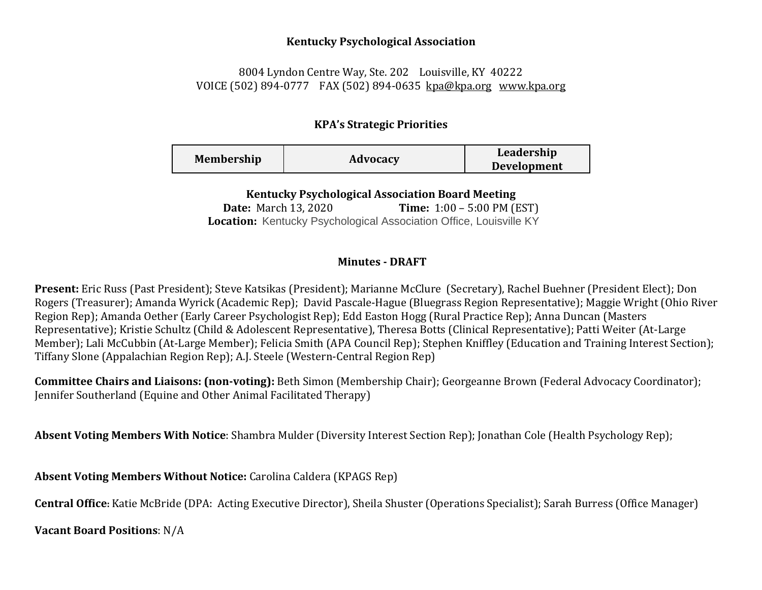## **Kentucky Psychological Association**

## 8004 Lyndon Centre Way, Ste. 202 Louisville, KY 40222 VOICE (502) 894-0777 FAX (502) 894-0635 [kpa@kpa.org](mailto:kpa@kih.net) [www.kpa.org](http://www.kpa.org/)

## **KPA's Strategic Priorities**

**Kentucky Psychological Association Board Meeting** 

**Date:** March 13, 2020 **Time:** 1:00 – 5:00 PM (EST) **Location:** Kentucky Psychological Association Office, Louisville KY

## **Minutes - DRAFT**

**Present:** Eric Russ (Past President); Steve Katsikas (President); Marianne McClure (Secretary), Rachel Buehner (President Elect); Don Rogers (Treasurer); Amanda Wyrick (Academic Rep); David Pascale-Hague (Bluegrass Region Representative); Maggie Wright (Ohio River Region Rep); Amanda Oether (Early Career Psychologist Rep); Edd Easton Hogg (Rural Practice Rep); Anna Duncan (Masters Representative); Kristie Schultz (Child & Adolescent Representative), Theresa Botts (Clinical Representative); Patti Weiter (At-Large Member); Lali McCubbin (At-Large Member); Felicia Smith (APA Council Rep); Stephen Kniffley (Education and Training Interest Section); Tiffany Slone (Appalachian Region Rep); A.J. Steele (Western-Central Region Rep)

**Committee Chairs and Liaisons: (non-voting):** Beth Simon (Membership Chair); Georgeanne Brown (Federal Advocacy Coordinator); Jennifer Southerland (Equine and Other Animal Facilitated Therapy)

**Absent Voting Members With Notice**: Shambra Mulder (Diversity Interest Section Rep); Jonathan Cole (Health Psychology Rep);

**Absent Voting Members Without Notice:** Carolina Caldera (KPAGS Rep)

**Central Office:** Katie McBride (DPA: Acting Executive Director), Sheila Shuster (Operations Specialist); Sarah Burress (Office Manager)

**Vacant Board Positions**: N/A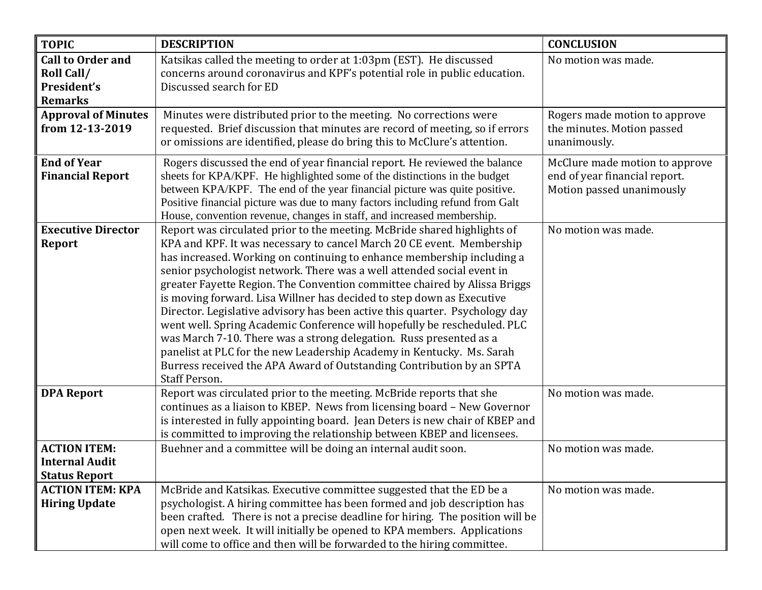| <b>TOPIC</b>                                    | <b>DESCRIPTION</b>                                                                                                                               | <b>CONCLUSION</b>              |
|-------------------------------------------------|--------------------------------------------------------------------------------------------------------------------------------------------------|--------------------------------|
| <b>Call to Order and</b>                        | Katsikas called the meeting to order at 1:03pm (EST). He discussed                                                                               | No motion was made.            |
| Roll Call/                                      | concerns around coronavirus and KPF's potential role in public education.                                                                        |                                |
| President's                                     | Discussed search for ED                                                                                                                          |                                |
| <b>Remarks</b>                                  |                                                                                                                                                  |                                |
| <b>Approval of Minutes</b>                      | Minutes were distributed prior to the meeting. No corrections were                                                                               | Rogers made motion to approve  |
| from 12-13-2019                                 | requested. Brief discussion that minutes are record of meeting, so if errors                                                                     | the minutes. Motion passed     |
|                                                 | or omissions are identified, please do bring this to McClure's attention.                                                                        | unanimously.                   |
| <b>End of Year</b>                              | Rogers discussed the end of year financial report. He reviewed the balance                                                                       | McClure made motion to approve |
| <b>Financial Report</b>                         | sheets for KPA/KPF. He highlighted some of the distinctions in the budget                                                                        | end of year financial report.  |
|                                                 | between KPA/KPF. The end of the year financial picture was quite positive.                                                                       | Motion passed unanimously      |
|                                                 | Positive financial picture was due to many factors including refund from Galt                                                                    |                                |
|                                                 | House, convention revenue, changes in staff, and increased membership.                                                                           |                                |
| <b>Executive Director</b>                       | Report was circulated prior to the meeting. McBride shared highlights of                                                                         | No motion was made.            |
| Report                                          | KPA and KPF. It was necessary to cancel March 20 CE event. Membership                                                                            |                                |
|                                                 | has increased. Working on continuing to enhance membership including a                                                                           |                                |
|                                                 | senior psychologist network. There was a well attended social event in                                                                           |                                |
|                                                 | greater Fayette Region. The Convention committee chaired by Alissa Briggs                                                                        |                                |
|                                                 | is moving forward. Lisa Willner has decided to step down as Executive                                                                            |                                |
|                                                 | Director. Legislative advisory has been active this quarter. Psychology day                                                                      |                                |
|                                                 | went well. Spring Academic Conference will hopefully be rescheduled. PLC                                                                         |                                |
|                                                 | was March 7-10. There was a strong delegation. Russ presented as a                                                                               |                                |
|                                                 | panelist at PLC for the new Leadership Academy in Kentucky. Ms. Sarah                                                                            |                                |
|                                                 | Burress received the APA Award of Outstanding Contribution by an SPTA                                                                            |                                |
|                                                 | <b>Staff Person.</b>                                                                                                                             |                                |
| <b>DPA Report</b>                               | Report was circulated prior to the meeting. McBride reports that she                                                                             | No motion was made.            |
|                                                 | continues as a liaison to KBEP. News from licensing board - New Governor                                                                         |                                |
|                                                 | is interested in fully appointing board. Jean Deters is new chair of KBEP and                                                                    |                                |
|                                                 | is committed to improving the relationship between KBEP and licensees.                                                                           |                                |
| <b>ACTION ITEM:</b>                             | Buehner and a committee will be doing an internal audit soon.                                                                                    | No motion was made.            |
| <b>Internal Audit</b>                           |                                                                                                                                                  |                                |
| <b>Status Report</b><br><b>ACTION ITEM: KPA</b> |                                                                                                                                                  | No motion was made.            |
|                                                 | McBride and Katsikas. Executive committee suggested that the ED be a<br>psychologist. A hiring committee has been formed and job description has |                                |
| <b>Hiring Update</b>                            | been crafted. There is not a precise deadline for hiring. The position will be                                                                   |                                |
|                                                 | open next week. It will initially be opened to KPA members. Applications                                                                         |                                |
|                                                 |                                                                                                                                                  |                                |
|                                                 | will come to office and then will be forwarded to the hiring committee.                                                                          |                                |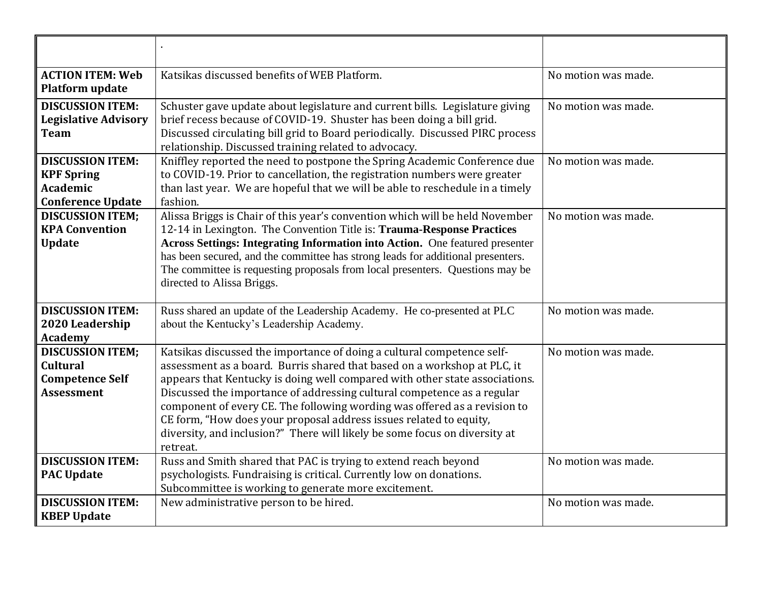| <b>ACTION ITEM: Web</b><br><b>Platform update</b>                                           | Katsikas discussed benefits of WEB Platform.                                                                                                                                                                                                                                                                                                                                                                                                                                                                                                              | No motion was made. |
|---------------------------------------------------------------------------------------------|-----------------------------------------------------------------------------------------------------------------------------------------------------------------------------------------------------------------------------------------------------------------------------------------------------------------------------------------------------------------------------------------------------------------------------------------------------------------------------------------------------------------------------------------------------------|---------------------|
| <b>DISCUSSION ITEM:</b><br><b>Legislative Advisory</b><br><b>Team</b>                       | Schuster gave update about legislature and current bills. Legislature giving<br>brief recess because of COVID-19. Shuster has been doing a bill grid.<br>Discussed circulating bill grid to Board periodically. Discussed PIRC process<br>relationship. Discussed training related to advocacy.                                                                                                                                                                                                                                                           | No motion was made. |
| <b>DISCUSSION ITEM:</b><br><b>KPF Spring</b><br><b>Academic</b><br><b>Conference Update</b> | Kniffley reported the need to postpone the Spring Academic Conference due<br>to COVID-19. Prior to cancellation, the registration numbers were greater<br>than last year. We are hopeful that we will be able to reschedule in a timely<br>fashion.                                                                                                                                                                                                                                                                                                       | No motion was made. |
| <b>DISCUSSION ITEM:</b><br><b>KPA Convention</b><br><b>Update</b>                           | Alissa Briggs is Chair of this year's convention which will be held November<br>12-14 in Lexington. The Convention Title is: Trauma-Response Practices<br>Across Settings: Integrating Information into Action. One featured presenter<br>has been secured, and the committee has strong leads for additional presenters.<br>The committee is requesting proposals from local presenters. Questions may be<br>directed to Alissa Briggs.                                                                                                                  | No motion was made. |
| <b>DISCUSSION ITEM:</b><br>2020 Leadership<br><b>Academy</b>                                | Russ shared an update of the Leadership Academy. He co-presented at PLC<br>about the Kentucky's Leadership Academy.                                                                                                                                                                                                                                                                                                                                                                                                                                       | No motion was made. |
| <b>DISCUSSION ITEM;</b><br><b>Cultural</b><br><b>Competence Self</b><br><b>Assessment</b>   | Katsikas discussed the importance of doing a cultural competence self-<br>assessment as a board. Burris shared that based on a workshop at PLC, it<br>appears that Kentucky is doing well compared with other state associations.<br>Discussed the importance of addressing cultural competence as a regular<br>component of every CE. The following wording was offered as a revision to<br>CE form, "How does your proposal address issues related to equity,<br>diversity, and inclusion?" There will likely be some focus on diversity at<br>retreat. | No motion was made. |
| <b>DISCUSSION ITEM:</b><br><b>PAC Update</b>                                                | Russ and Smith shared that PAC is trying to extend reach beyond<br>psychologists. Fundraising is critical. Currently low on donations.<br>Subcommittee is working to generate more excitement.                                                                                                                                                                                                                                                                                                                                                            | No motion was made. |
| <b>DISCUSSION ITEM:</b><br><b>KBEP Update</b>                                               | New administrative person to be hired.                                                                                                                                                                                                                                                                                                                                                                                                                                                                                                                    | No motion was made. |